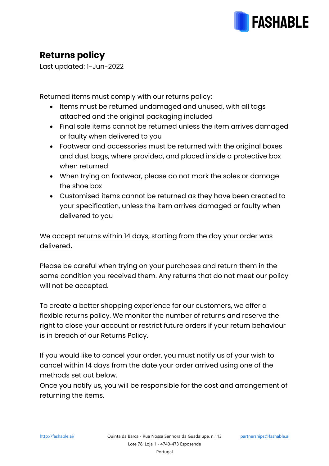

## **Returns policy**

Last updated: 1-Jun-2022

Returned items must comply with our returns policy:

- Items must be returned undamaged and unused, with all tags attached and the original packaging included
- Final sale items cannot be returned unless the item arrives damaged or faulty when delivered to you
- Footwear and accessories must be returned with the original boxes and dust bags, where provided, and placed inside a protective box when returned
- When trying on footwear, please do not mark the soles or damage the shoe box
- Customised items cannot be returned as they have been created to your specification, unless the item arrives damaged or faulty when delivered to you

## We accept returns within 14 days, starting from the day your order was delivered**.**

Please be careful when trying on your purchases and return them in the same condition you received them. Any returns that do not meet our policy will not be accepted.

To create a better shopping experience for our customers, we offer a flexible returns policy. We monitor the number of returns and reserve the right to close your account or restrict future orders if your return behaviour is in breach of our Returns Policy.

If you would like to cancel your order, you must notify us of your wish to cancel within 14 days from the date your order arrived using one of the methods set out below.

Once you notify us, you will be responsible for the cost and arrangement of returning the items.